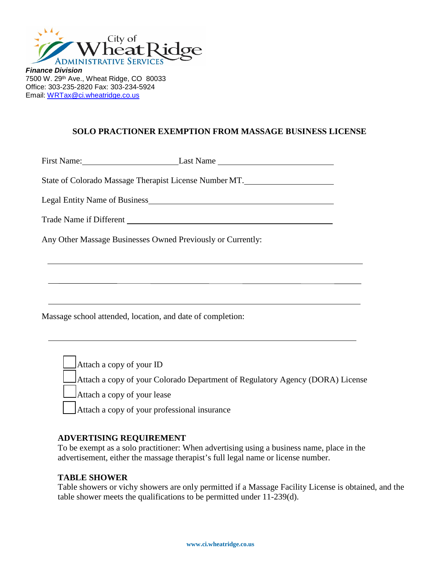

*Finance Division* 7500 W. 29th Ave., Wheat Ridge, CO 80033 Office: 303-235-2820 Fax: 303-234-5924 Email: [WRTax@ci.wheatridge.co.us](mailto:WRTax@ci.wheatridge.co.us) 

# **SOLO PRACTIONER EXEMPTION FROM MASSAGE BUSINESS LICENSE**

First Name: Last Name State of Colorado Massage Therapist License Number MT. Legal Entity Name of Business Trade Name if Different Any Other Massage Businesses Owned Previously or Currently:

Massage school attended, location, and date of completion:

Attach a copy of your ID

Attach a copy of your Colorado Department of Regulatory Agency (DORA) License

Attach a copy of your lease

Attach a copy of your professional insurance

### **ADVERTISING REQUIREMENT**

To be exempt as a solo practitioner: When advertising using a business name, place in the advertisement, either the massage therapist's full legal name or license number.

### **TABLE SHOWER**

Table showers or vichy showers are only permitted if a Massage Facility License is obtained, and the table shower meets the qualifications to be permitted under 11-239(d).